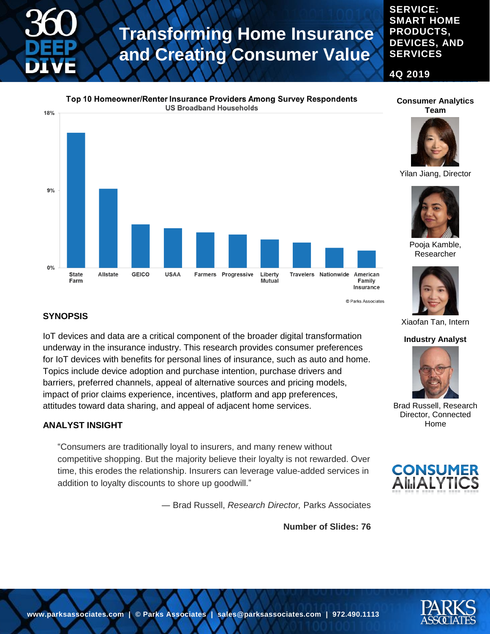**PRODUCTS, DEVICES, AND SERVICES**

**4Q 2019**

**SERVICE: SMART HOME** 



#### **SYNOPSIS**

IoT devices and data are a critical component of the broader digital transformation underway in the insurance industry. This research provides consumer preferences for IoT devices with benefits for personal lines of insurance, such as auto and home. Topics include device adoption and purchase intention, purchase drivers and barriers, preferred channels, appeal of alternative sources and pricing models, impact of prior claims experience, incentives, platform and app preferences, attitudes toward data sharing, and appeal of adjacent home services.

#### **ANALYST INSIGHT**

"Consumers are traditionally loyal to insurers, and many renew without competitive shopping. But the majority believe their loyalty is not rewarded. Over time, this erodes the relationship. Insurers can leverage value-added services in addition to loyalty discounts to shore up goodwill."

― Brad Russell, *Research Director,* Parks Associates

**Number of Slides: 76**







Pooja Kamble,

Researcher



© Parks Associates

Xiaofan Tan, Intern

#### **Industry Analyst**



Brad Russell, Research Director, Connected Home



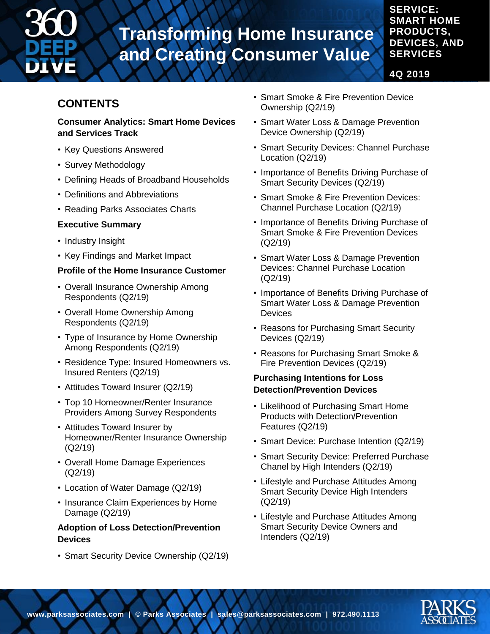

### **SERVICE: SMART HOME PRODUCTS, DEVICES, AND SERVICES**

**4Q 2019**

### **CONTENTS**

#### **Consumer Analytics: Smart Home Devices and Services Track**

- Key Questions Answered
- Survey Methodology
- Defining Heads of Broadband Households
- Definitions and Abbreviations
- Reading Parks Associates Charts

#### **Executive Summary**

- Industry Insight
- Key Findings and Market Impact

#### **Profile of the Home Insurance Customer**

- Overall Insurance Ownership Among Respondents (Q2/19)
- Overall Home Ownership Among Respondents (Q2/19)
- Type of Insurance by Home Ownership Among Respondents (Q2/19)
- Residence Type: Insured Homeowners vs. Insured Renters (Q2/19)
- Attitudes Toward Insurer (Q2/19)
- Top 10 Homeowner/Renter Insurance Providers Among Survey Respondents
- Attitudes Toward Insurer by Homeowner/Renter Insurance Ownership (Q2/19)
- Overall Home Damage Experiences (Q2/19)
- Location of Water Damage (Q2/19)
- Insurance Claim Experiences by Home Damage (Q2/19)

#### **Adoption of Loss Detection/Prevention Devices**

• Smart Security Device Ownership (Q2/19)

- Smart Smoke & Fire Prevention Device Ownership (Q2/19)
- Smart Water Loss & Damage Prevention Device Ownership (Q2/19)
- Smart Security Devices: Channel Purchase Location (Q2/19)
- Importance of Benefits Driving Purchase of Smart Security Devices (Q2/19)
- Smart Smoke & Fire Prevention Devices: Channel Purchase Location (Q2/19)
- Importance of Benefits Driving Purchase of Smart Smoke & Fire Prevention Devices (Q2/19)
- Smart Water Loss & Damage Prevention Devices: Channel Purchase Location (Q2/19)
- Importance of Benefits Driving Purchase of Smart Water Loss & Damage Prevention **Devices**
- Reasons for Purchasing Smart Security Devices (Q2/19)
- Reasons for Purchasing Smart Smoke & Fire Prevention Devices (Q2/19)

#### **Purchasing Intentions for Loss Detection/Prevention Devices**

- Likelihood of Purchasing Smart Home Products with Detection/Prevention Features (Q2/19)
- Smart Device: Purchase Intention (Q2/19)
- Smart Security Device: Preferred Purchase Chanel by High Intenders (Q2/19)
- Lifestyle and Purchase Attitudes Among Smart Security Device High Intenders (Q2/19)
- Lifestyle and Purchase Attitudes Among Smart Security Device Owners and Intenders (Q2/19)

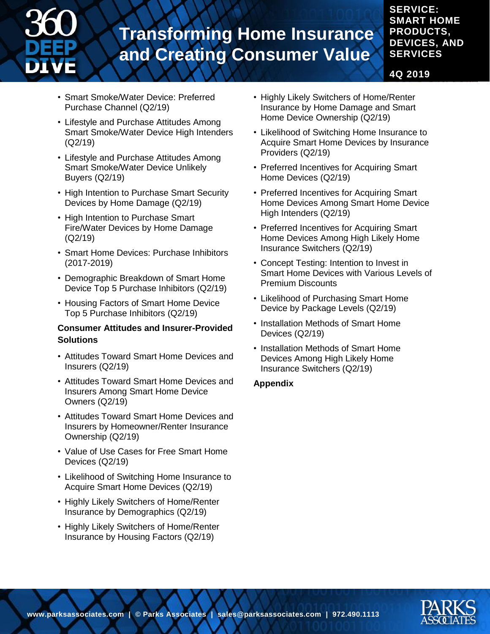

### **PRODUCTS, DEVICES, AND SERVICES**

**SERVICE: SMART HOME** 

**4Q 2019**

- Smart Smoke/Water Device: Preferred Purchase Channel (Q2/19)
- Lifestyle and Purchase Attitudes Among Smart Smoke/Water Device High Intenders (Q2/19)
- Lifestyle and Purchase Attitudes Among Smart Smoke/Water Device Unlikely Buyers (Q2/19)
- High Intention to Purchase Smart Security Devices by Home Damage (Q2/19)
- High Intention to Purchase Smart Fire/Water Devices by Home Damage (Q2/19)
- Smart Home Devices: Purchase Inhibitors (2017-2019)
- Demographic Breakdown of Smart Home Device Top 5 Purchase Inhibitors (Q2/19)
- Housing Factors of Smart Home Device Top 5 Purchase Inhibitors (Q2/19)

#### **Consumer Attitudes and Insurer-Provided Solutions**

- Attitudes Toward Smart Home Devices and Insurers (Q2/19)
- Attitudes Toward Smart Home Devices and Insurers Among Smart Home Device Owners (Q2/19)
- Attitudes Toward Smart Home Devices and Insurers by Homeowner/Renter Insurance Ownership (Q2/19)
- Value of Use Cases for Free Smart Home Devices (Q2/19)
- Likelihood of Switching Home Insurance to Acquire Smart Home Devices (Q2/19)
- Highly Likely Switchers of Home/Renter Insurance by Demographics (Q2/19)
- Highly Likely Switchers of Home/Renter Insurance by Housing Factors (Q2/19)
- Highly Likely Switchers of Home/Renter Insurance by Home Damage and Smart Home Device Ownership (Q2/19)
- Likelihood of Switching Home Insurance to Acquire Smart Home Devices by Insurance Providers (Q2/19)
- Preferred Incentives for Acquiring Smart Home Devices (Q2/19)
- Preferred Incentives for Acquiring Smart Home Devices Among Smart Home Device High Intenders (Q2/19)
- Preferred Incentives for Acquiring Smart Home Devices Among High Likely Home Insurance Switchers (Q2/19)
- Concept Testing: Intention to Invest in Smart Home Devices with Various Levels of Premium Discounts
- Likelihood of Purchasing Smart Home Device by Package Levels (Q2/19)
- Installation Methods of Smart Home Devices (Q2/19)
- Installation Methods of Smart Home Devices Among High Likely Home Insurance Switchers (Q2/19)

#### **Appendix**